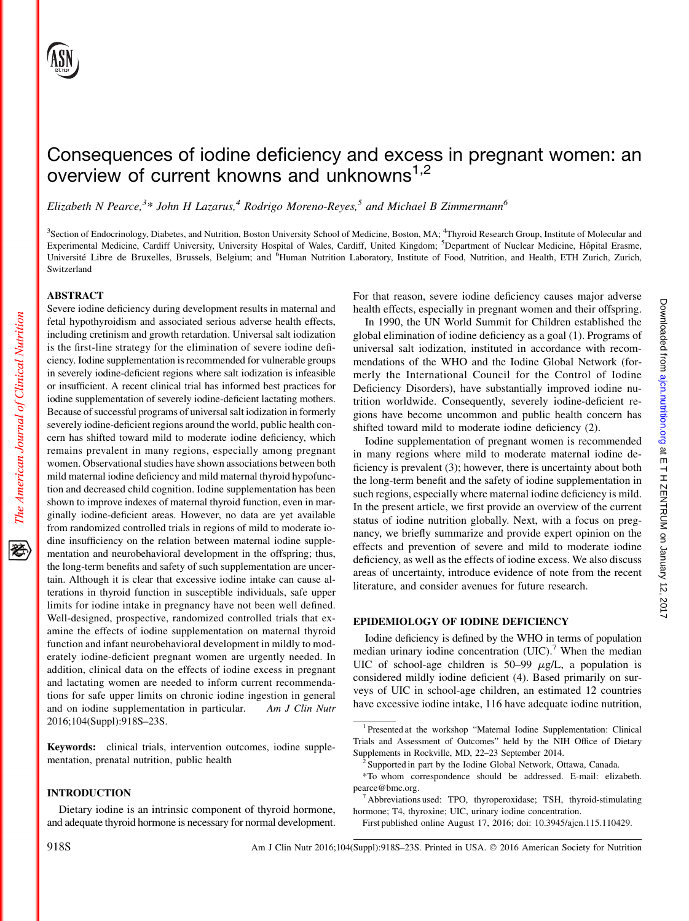# Consequences of iodine deficiency and excess in pregnant women: an overview of current knowns and unknowns<sup>1,2</sup>

Elizabeth N Pearce,<sup>3\*</sup> John H Lazarus,<sup>4</sup> Rodrigo Moreno-Reyes,<sup>5</sup> and Michael B Zimmermann<sup>6</sup>

<sup>3</sup>Section of Endocrinology, Diabetes, and Nutrition, Boston University School of Medicine, Boston, MA; <sup>4</sup>Thyroid Research Group, Institute of Molecular and Experimental Medicine, Cardiff University, University Hospital of Wales, Cardiff, United Kingdom; <sup>5</sup>Department of Nuclear Medicine, Hôpital Erasme, Université Libre de Bruxelles, Brussels, Belgium; and <sup>6</sup>Human Nutrition Laboratory, Institute of Food, Nutrition, and Health, ETH Zurich, Zurich, Switzerland

#### ABSTRACT

Severe iodine deficiency during development results in maternal and fetal hypothyroidism and associated serious adverse health effects, including cretinism and growth retardation. Universal salt iodization is the first-line strategy for the elimination of severe iodine deficiency. Iodine supplementation is recommended for vulnerable groups in severely iodine-deficient regions where salt iodization is infeasible or insufficient. A recent clinical trial has informed best practices for iodine supplementation of severely iodine-deficient lactating mothers. Because of successful programs of universal salt iodization in formerly severely iodine-deficient regions around the world, public health concern has shifted toward mild to moderate iodine deficiency, which remains prevalent in many regions, especially among pregnant women. Observational studies have shown associations between both mild maternal iodine deficiency and mild maternal thyroid hypofunction and decreased child cognition. Iodine supplementation has been shown to improve indexes of maternal thyroid function, even in marginally iodine-deficient areas. However, no data are yet available from randomized controlled trials in regions of mild to moderate iodine insufficiency on the relation between maternal iodine supplementation and neurobehavioral development in the offspring; thus, the long-term benefits and safety of such supplementation are uncertain. Although it is clear that excessive iodine intake can cause alterations in thyroid function in susceptible individuals, safe upper limits for iodine intake in pregnancy have not been well defined. Well-designed, prospective, randomized controlled trials that examine the effects of iodine supplementation on maternal thyroid function and infant neurobehavioral development in mildly to moderately iodine-deficient pregnant women are urgently needed. In addition, clinical data on the effects of iodine excess in pregnant and lactating women are needed to inform current recommendations for safe upper limits on chronic iodine ingestion in general and on iodine supplementation in particular. Am J Clin Nutr 2016;104(Suppl):918S–23S.

Keywords: clinical trials, intervention outcomes, iodine supplementation, prenatal nutrition, public health

#### INTRODUCTION

Dietary iodine is an intrinsic component of thyroid hormone, and adequate thyroid hormone is necessary for normal development.

For that reason, severe iodine deficiency causes major adverse health effects, especially in pregnant women and their offspring.

In 1990, the UN World Summit for Children established the global elimination of iodine deficiency as a goal (1). Programs of universal salt iodization, instituted in accordance with recommendations of the WHO and the Iodine Global Network (formerly the International Council for the Control of Iodine Deficiency Disorders), have substantially improved iodine nutrition worldwide. Consequently, severely iodine-deficient regions have become uncommon and public health concern has shifted toward mild to moderate iodine deficiency (2).

Iodine supplementation of pregnant women is recommended in many regions where mild to moderate maternal iodine deficiency is prevalent (3); however, there is uncertainty about both the long-term benefit and the safety of iodine supplementation in such regions, especially where maternal iodine deficiency is mild. In the present article, we first provide an overview of the current status of iodine nutrition globally. Next, with a focus on pregnancy, we briefly summarize and provide expert opinion on the effects and prevention of severe and mild to moderate iodine deficiency, as well as the effects of iodine excess. We also discuss areas of uncertainty, introduce evidence of note from the recent literature, and consider avenues for future research.

## EPIDEMIOLOGY OF IODINE DEFICIENCY

Iodine deficiency is defined by the WHO in terms of population median urinary iodine concentration  $(UIC)^{7}$ . When the median UIC of school-age children is  $50-99 \mu g/L$ , a population is considered mildly iodine deficient (4). Based primarily on surveys of UIC in school-age children, an estimated 12 countries have excessive iodine intake, 116 have adequate iodine nutrition, Downloaded from ajcn.nutrition.org at E T H ZENTRUM on January 12, 2017 Downloaded from  $a$ jcn.nutrition.org at E T H ZENTRUM on January 12, 2017

The American Journal of Clinical Nutrition

犵

<sup>&</sup>lt;sup>1</sup> Presented at the workshop "Maternal Iodine Supplementation: Clinical Trials and Assessment of Outcomes" held by the NIH Office of Dietary

<sup>&</sup>lt;sup>2</sup> Supported in part by the Iodine Global Network, Ottawa, Canada.

<sup>\*</sup>To whom correspondence should be addressed. E-mail: elizabeth. pearce@bmc.org.

<sup>7</sup> Abbreviations used: TPO, thyroperoxidase; TSH, thyroid-stimulating hormone; T4, thyroxine; UIC, urinary iodine concentration.

First published online August 17, 2016; doi: 10.3945/ajcn.115.110429.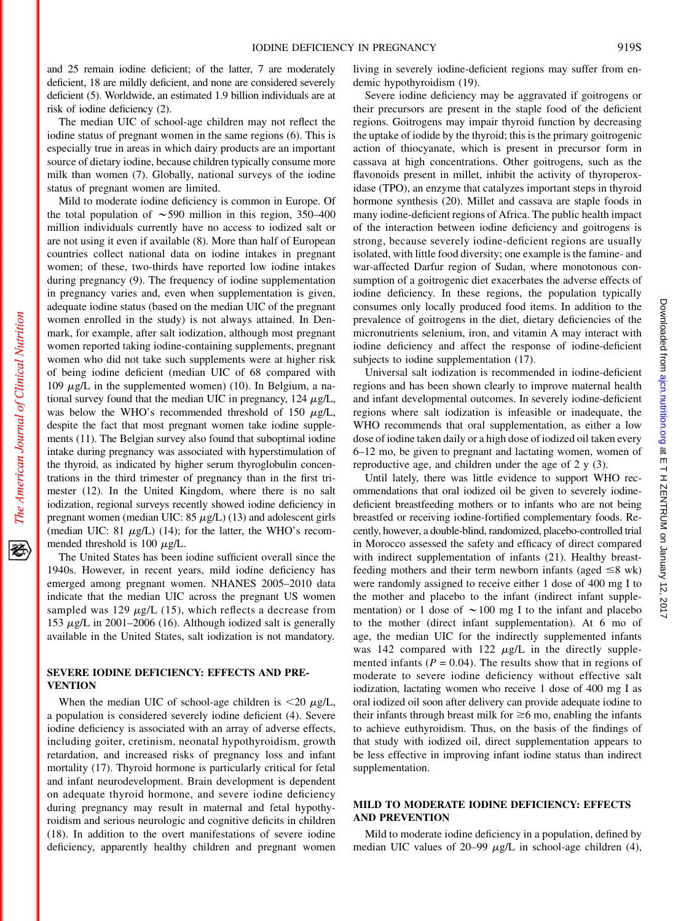and 25 remain iodine deficient; of the latter, 7 are moderately deficient, 18 are mildly deficient, and none are considered severely deficient (5). Worldwide, an estimated 1.9 billion individuals are at risk of iodine deficiency (2).

The median UIC of school-age children may not reflect the iodine status of pregnant women in the same regions (6). This is especially true in areas in which dairy products are an important source of dietary iodine, because children typically consume more milk than women (7). Globally, national surveys of the iodine status of pregnant women are limited.

Mild to moderate iodine deficiency is common in Europe. Of the total population of  $\sim$  590 million in this region, 350–400 million individuals currently have no access to iodized salt or are not using it even if available (8). More than half of European countries collect national data on iodine intakes in pregnant women; of these, two-thirds have reported low iodine intakes during pregnancy (9). The frequency of iodine supplementation in pregnancy varies and, even when supplementation is given, adequate iodine status (based on the median UIC of the pregnant women enrolled in the study) is not always attained. In Denmark, for example, after salt iodization, although most pregnant women reported taking iodine-containing supplements, pregnant women who did not take such supplements were at higher risk of being iodine deficient (median UIC of 68 compared with 109  $\mu$ g/L in the supplemented women) (10). In Belgium, a national survey found that the median UIC in pregnancy,  $124 \mu g/L$ , was below the WHO's recommended threshold of 150  $\mu$ g/L, despite the fact that most pregnant women take iodine supplements (11). The Belgian survey also found that suboptimal iodine intake during pregnancy was associated with hyperstimulation of the thyroid, as indicated by higher serum thyroglobulin concentrations in the third trimester of pregnancy than in the first trimester (12). In the United Kingdom, where there is no salt iodization, regional surveys recently showed iodine deficiency in pregnant women (median UIC:  $85 \mu g/L$ ) (13) and adolescent girls (median UIC: 81  $\mu$ g/L) (14); for the latter, the WHO's recommended threshold is 100  $\mu$ g/L.

The United States has been iodine sufficient overall since the 1940s. However, in recent years, mild iodine deficiency has emerged among pregnant women. NHANES 2005–2010 data indicate that the median UIC across the pregnant US women sampled was 129  $\mu$ g/L (15), which reflects a decrease from 153  $\mu$ g/L in 2001–2006 (16). Although iodized salt is generally available in the United States, salt iodization is not mandatory.

## SEVERE IODINE DEFICIENCY: EFFECTS AND PRE-**VENTION**

When the median UIC of school-age children is  $\langle 20 \mu g/L,$ a population is considered severely iodine deficient (4). Severe iodine deficiency is associated with an array of adverse effects, including goiter, cretinism, neonatal hypothyroidism, growth retardation, and increased risks of pregnancy loss and infant mortality (17). Thyroid hormone is particularly critical for fetal and infant neurodevelopment. Brain development is dependent on adequate thyroid hormone, and severe iodine deficiency during pregnancy may result in maternal and fetal hypothyroidism and serious neurologic and cognitive deficits in children (18). In addition to the overt manifestations of severe iodine deficiency, apparently healthy children and pregnant women

living in severely iodine-deficient regions may suffer from endemic hypothyroidism (19).

Severe iodine deficiency may be aggravated if goitrogens or their precursors are present in the staple food of the deficient regions. Goitrogens may impair thyroid function by decreasing the uptake of iodide by the thyroid; this is the primary goitrogenic action of thiocyanate, which is present in precursor form in cassava at high concentrations. Other goitrogens, such as the flavonoids present in millet, inhibit the activity of thyroperoxidase (TPO), an enzyme that catalyzes important steps in thyroid hormone synthesis (20). Millet and cassava are staple foods in many iodine-deficient regions of Africa. The public health impact of the interaction between iodine deficiency and goitrogens is strong, because severely iodine-deficient regions are usually isolated, with little food diversity; one example is the famine- and war-affected Darfur region of Sudan, where monotonous consumption of a goitrogenic diet exacerbates the adverse effects of iodine deficiency. In these regions, the population typically consumes only locally produced food items. In addition to the prevalence of goitrogens in the diet, dietary deficiencies of the micronutrients selenium, iron, and vitamin A may interact with iodine deficiency and affect the response of iodine-deficient subjects to iodine supplementation (17).

Universal salt iodization is recommended in iodine-deficient regions and has been shown clearly to improve maternal health and infant developmental outcomes. In severely iodine-deficient regions where salt iodization is infeasible or inadequate, the WHO recommends that oral supplementation, as either a low dose of iodine taken daily or a high dose of iodized oil taken every 6–12 mo, be given to pregnant and lactating women, women of reproductive age, and children under the age of 2 y (3).

Until lately, there was little evidence to support WHO recommendations that oral iodized oil be given to severely iodinedeficient breastfeeding mothers or to infants who are not being breastfed or receiving iodine-fortified complementary foods. Recently, however, a double-blind, randomized, placebo-controlled trial in Morocco assessed the safety and efficacy of direct compared with indirect supplementation of infants (21). Healthy breastfeeding mothers and their term newborn infants (aged  $\leq 8$  wk) were randomly assigned to receive either 1 dose of 400 mg I to the mother and placebo to the infant (indirect infant supplementation) or 1 dose of  $\sim$  100 mg I to the infant and placebo to the mother (direct infant supplementation). At 6 mo of age, the median UIC for the indirectly supplemented infants was 142 compared with 122  $\mu$ g/L in the directly supplemented infants ( $P = 0.04$ ). The results show that in regions of moderate to severe iodine deficiency without effective salt iodization, lactating women who receive 1 dose of 400 mg I as oral iodized oil soon after delivery can provide adequate iodine to their infants through breast milk for  $\geq 6$  mo, enabling the infants to achieve euthyroidism. Thus, on the basis of the findings of that study with iodized oil, direct supplementation appears to be less effective in improving infant iodine status than indirect supplementation.

## MILD TO MODERATE IODINE DEFICIENCY: EFFECTS AND PREVENTION

Mild to moderate iodine deficiency in a population, defined by median UIC values of 20–99  $\mu$ g/L in school-age children (4),

经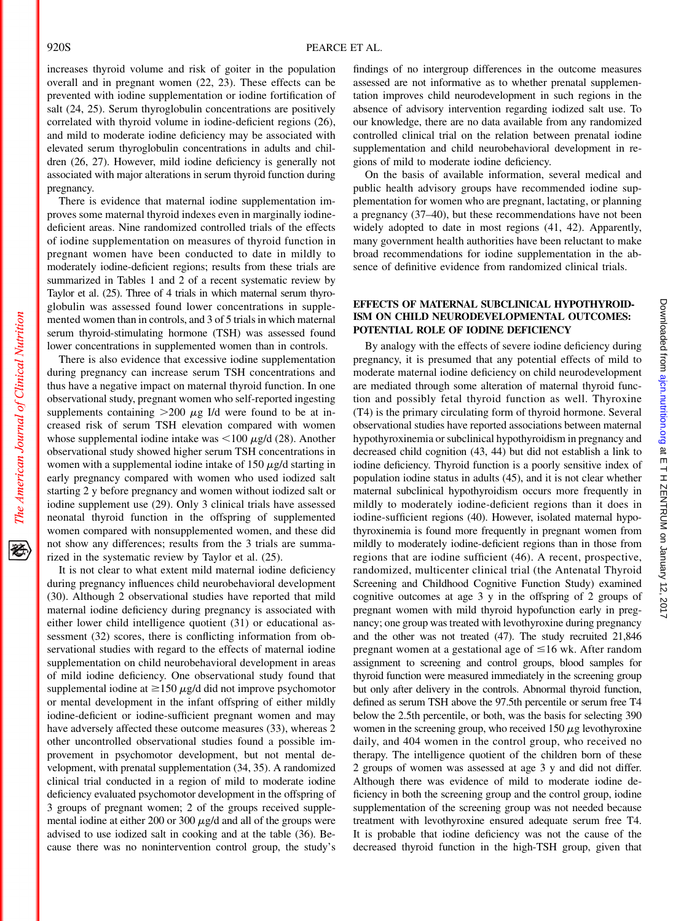increases thyroid volume and risk of goiter in the population overall and in pregnant women (22, 23). These effects can be prevented with iodine supplementation or iodine fortification of salt (24, 25). Serum thyroglobulin concentrations are positively correlated with thyroid volume in iodine-deficient regions (26), and mild to moderate iodine deficiency may be associated with elevated serum thyroglobulin concentrations in adults and children (26, 27). However, mild iodine deficiency is generally not associated with major alterations in serum thyroid function during pregnancy.

There is evidence that maternal iodine supplementation improves some maternal thyroid indexes even in marginally iodinedeficient areas. Nine randomized controlled trials of the effects of iodine supplementation on measures of thyroid function in pregnant women have been conducted to date in mildly to moderately iodine-deficient regions; results from these trials are summarized in Tables 1 and 2 of a recent systematic review by Taylor et al. (25). Three of 4 trials in which maternal serum thyroglobulin was assessed found lower concentrations in supplemented women than in controls, and 3 of 5 trials in which maternal serum thyroid-stimulating hormone (TSH) was assessed found lower concentrations in supplemented women than in controls.

There is also evidence that excessive iodine supplementation during pregnancy can increase serum TSH concentrations and thus have a negative impact on maternal thyroid function. In one observational study, pregnant women who self-reported ingesting supplements containing  $>200 \mu g$  I/d were found to be at increased risk of serum TSH elevation compared with women whose supplemental iodine intake was  $\leq 100 \mu g/d$  (28). Another observational study showed higher serum TSH concentrations in women with a supplemental iodine intake of 150  $\mu$ g/d starting in early pregnancy compared with women who used iodized salt starting 2 y before pregnancy and women without iodized salt or iodine supplement use (29). Only 3 clinical trials have assessed neonatal thyroid function in the offspring of supplemented women compared with nonsupplemented women, and these did not show any differences; results from the 3 trials are summarized in the systematic review by Taylor et al. (25).

It is not clear to what extent mild maternal iodine deficiency during pregnancy influences child neurobehavioral development (30). Although 2 observational studies have reported that mild maternal iodine deficiency during pregnancy is associated with either lower child intelligence quotient (31) or educational assessment (32) scores, there is conflicting information from observational studies with regard to the effects of maternal iodine supplementation on child neurobehavioral development in areas of mild iodine deficiency. One observational study found that supplemental iodine at  $\geq$ 150  $\mu$ g/d did not improve psychomotor or mental development in the infant offspring of either mildly iodine-deficient or iodine-sufficient pregnant women and may have adversely affected these outcome measures (33), whereas 2 other uncontrolled observational studies found a possible improvement in psychomotor development, but not mental development, with prenatal supplementation (34, 35). A randomized clinical trial conducted in a region of mild to moderate iodine deficiency evaluated psychomotor development in the offspring of 3 groups of pregnant women; 2 of the groups received supplemental iodine at either 200 or 300  $\mu$ g/d and all of the groups were advised to use iodized salt in cooking and at the table (36). Because there was no nonintervention control group, the study's

findings of no intergroup differences in the outcome measures assessed are not informative as to whether prenatal supplementation improves child neurodevelopment in such regions in the absence of advisory intervention regarding iodized salt use. To our knowledge, there are no data available from any randomized controlled clinical trial on the relation between prenatal iodine supplementation and child neurobehavioral development in regions of mild to moderate iodine deficiency.

On the basis of available information, several medical and public health advisory groups have recommended iodine supplementation for women who are pregnant, lactating, or planning a pregnancy (37–40), but these recommendations have not been widely adopted to date in most regions (41, 42). Apparently, many government health authorities have been reluctant to make broad recommendations for iodine supplementation in the absence of definitive evidence from randomized clinical trials.

## EFFECTS OF MATERNAL SUBCLINICAL HYPOTHYROID-ISM ON CHILD NEURODEVELOPMENTAL OUTCOMES: POTENTIAL ROLE OF IODINE DEFICIENCY

By analogy with the effects of severe iodine deficiency during pregnancy, it is presumed that any potential effects of mild to moderate maternal iodine deficiency on child neurodevelopment are mediated through some alteration of maternal thyroid function and possibly fetal thyroid function as well. Thyroxine (T4) is the primary circulating form of thyroid hormone. Several observational studies have reported associations between maternal hypothyroxinemia or subclinical hypothyroidism in pregnancy and decreased child cognition (43, 44) but did not establish a link to iodine deficiency. Thyroid function is a poorly sensitive index of population iodine status in adults (45), and it is not clear whether maternal subclinical hypothyroidism occurs more frequently in mildly to moderately iodine-deficient regions than it does in iodine-sufficient regions (40). However, isolated maternal hypothyroxinemia is found more frequently in pregnant women from mildly to moderately iodine-deficient regions than in those from regions that are iodine sufficient (46). A recent, prospective, randomized, multicenter clinical trial (the Antenatal Thyroid Screening and Childhood Cognitive Function Study) examined cognitive outcomes at age 3 y in the offspring of 2 groups of pregnant women with mild thyroid hypofunction early in pregnancy; one group was treated with levothyroxine during pregnancy and the other was not treated (47). The study recruited 21,846 pregnant women at a gestational age of  $\leq 16$  wk. After random assignment to screening and control groups, blood samples for thyroid function were measured immediately in the screening group but only after delivery in the controls. Abnormal thyroid function, defined as serum TSH above the 97.5th percentile or serum free T4 below the 2.5th percentile, or both, was the basis for selecting 390 women in the screening group, who received 150  $\mu$ g levothyroxine daily, and 404 women in the control group, who received no therapy. The intelligence quotient of the children born of these 2 groups of women was assessed at age 3 y and did not differ. Although there was evidence of mild to moderate iodine deficiency in both the screening group and the control group, iodine supplementation of the screening group was not needed because treatment with levothyroxine ensured adequate serum free T4. It is probable that iodine deficiency was not the cause of the decreased thyroid function in the high-TSH group, given that

The American Journal of Clinical Nutrition

资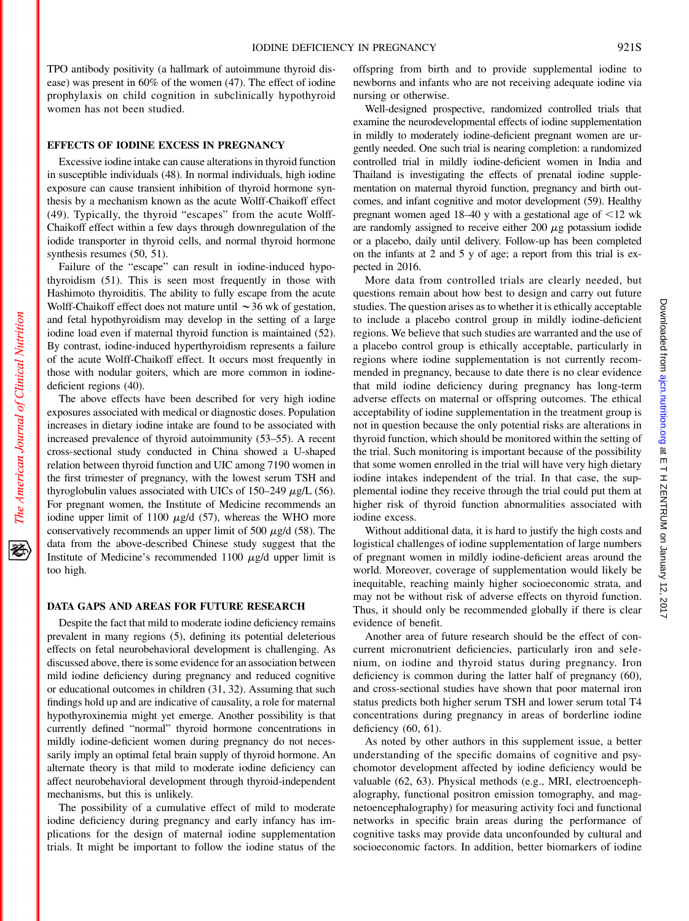TPO antibody positivity (a hallmark of autoimmune thyroid disease) was present in 60% of the women (47). The effect of iodine prophylaxis on child cognition in subclinically hypothyroid women has not been studied.

#### EFFECTS OF IODINE EXCESS IN PREGNANCY

Excessive iodine intake can cause alterations in thyroid function in susceptible individuals (48). In normal individuals, high iodine exposure can cause transient inhibition of thyroid hormone synthesis by a mechanism known as the acute Wolff-Chaikoff effect (49). Typically, the thyroid "escapes" from the acute Wolff-Chaikoff effect within a few days through downregulation of the iodide transporter in thyroid cells, and normal thyroid hormone synthesis resumes (50, 51).

Failure of the "escape" can result in iodine-induced hypothyroidism (51). This is seen most frequently in those with Hashimoto thyroiditis. The ability to fully escape from the acute Wolff-Chaikoff effect does not mature until  $\sim$  36 wk of gestation, and fetal hypothyroidism may develop in the setting of a large iodine load even if maternal thyroid function is maintained (52). By contrast, iodine-induced hyperthyroidism represents a failure of the acute Wolff-Chaikoff effect. It occurs most frequently in those with nodular goiters, which are more common in iodinedeficient regions (40).

The above effects have been described for very high iodine exposures associated with medical or diagnostic doses. Population increases in dietary iodine intake are found to be associated with increased prevalence of thyroid autoimmunity (53–55). A recent cross-sectional study conducted in China showed a U-shaped relation between thyroid function and UIC among 7190 women in the first trimester of pregnancy, with the lowest serum TSH and thyroglobulin values associated with UICs of  $150-249 \mu g/L$  (56). For pregnant women, the Institute of Medicine recommends an iodine upper limit of 1100  $\mu$ g/d (57), whereas the WHO more conservatively recommends an upper limit of 500  $\mu$ g/d (58). The data from the above-described Chinese study suggest that the Institute of Medicine's recommended 1100  $\mu$ g/d upper limit is too high.

#### DATA GAPS AND AREAS FOR FUTURE RESEARCH

Despite the fact that mild to moderate iodine deficiency remains prevalent in many regions (5), defining its potential deleterious effects on fetal neurobehavioral development is challenging. As discussed above, there is some evidence for an association between mild iodine deficiency during pregnancy and reduced cognitive or educational outcomes in children (31, 32). Assuming that such findings hold up and are indicative of causality, a role for maternal hypothyroxinemia might yet emerge. Another possibility is that currently defined "normal" thyroid hormone concentrations in mildly iodine-deficient women during pregnancy do not necessarily imply an optimal fetal brain supply of thyroid hormone. An alternate theory is that mild to moderate iodine deficiency can affect neurobehavioral development through thyroid-independent mechanisms, but this is unlikely.

The possibility of a cumulative effect of mild to moderate iodine deficiency during pregnancy and early infancy has implications for the design of maternal iodine supplementation trials. It might be important to follow the iodine status of the offspring from birth and to provide supplemental iodine to newborns and infants who are not receiving adequate iodine via nursing or otherwise.

Well-designed prospective, randomized controlled trials that examine the neurodevelopmental effects of iodine supplementation in mildly to moderately iodine-deficient pregnant women are urgently needed. One such trial is nearing completion: a randomized controlled trial in mildly iodine-deficient women in India and Thailand is investigating the effects of prenatal iodine supplementation on maternal thyroid function, pregnancy and birth outcomes, and infant cognitive and motor development (59). Healthy pregnant women aged 18–40 y with a gestational age of  $\leq$ 12 wk are randomly assigned to receive either  $200 \mu$ g potassium iodide or a placebo, daily until delivery. Follow-up has been completed on the infants at 2 and 5 y of age; a report from this trial is expected in 2016.

More data from controlled trials are clearly needed, but questions remain about how best to design and carry out future studies. The question arises as to whether it is ethically acceptable to include a placebo control group in mildly iodine-deficient regions. We believe that such studies are warranted and the use of a placebo control group is ethically acceptable, particularly in regions where iodine supplementation is not currently recommended in pregnancy, because to date there is no clear evidence that mild iodine deficiency during pregnancy has long-term adverse effects on maternal or offspring outcomes. The ethical acceptability of iodine supplementation in the treatment group is not in question because the only potential risks are alterations in thyroid function, which should be monitored within the setting of the trial. Such monitoring is important because of the possibility that some women enrolled in the trial will have very high dietary iodine intakes independent of the trial. In that case, the supplemental iodine they receive through the trial could put them at higher risk of thyroid function abnormalities associated with iodine excess.

Without additional data, it is hard to justify the high costs and logistical challenges of iodine supplementation of large numbers of pregnant women in mildly iodine-deficient areas around the world. Moreover, coverage of supplementation would likely be inequitable, reaching mainly higher socioeconomic strata, and may not be without risk of adverse effects on thyroid function. Thus, it should only be recommended globally if there is clear evidence of benefit.

Another area of future research should be the effect of concurrent micronutrient deficiencies, particularly iron and selenium, on iodine and thyroid status during pregnancy. Iron deficiency is common during the latter half of pregnancy (60), and cross-sectional studies have shown that poor maternal iron status predicts both higher serum TSH and lower serum total T4 concentrations during pregnancy in areas of borderline iodine deficiency (60, 61).

As noted by other authors in this supplement issue, a better understanding of the specific domains of cognitive and psychomotor development affected by iodine deficiency would be valuable (62, 63). Physical methods (e.g., MRI, electroencephalography, functional positron emission tomography, and magnetoencephalography) for measuring activity foci and functional networks in specific brain areas during the performance of cognitive tasks may provide data unconfounded by cultural and socioeconomic factors. In addition, better biomarkers of iodine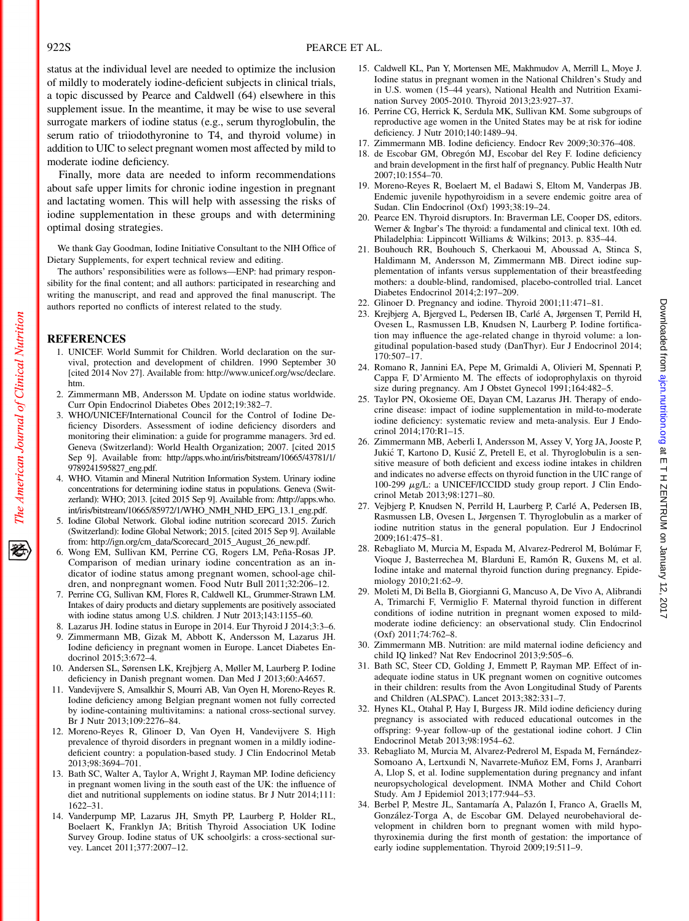status at the individual level are needed to optimize the inclusion of mildly to moderately iodine-deficient subjects in clinical trials, a topic discussed by Pearce and Caldwell (64) elsewhere in this supplement issue. In the meantime, it may be wise to use several surrogate markers of iodine status (e.g., serum thyroglobulin, the serum ratio of triiodothyronine to T4, and thyroid volume) in addition to UIC to select pregnant women most affected by mild to moderate iodine deficiency.

Finally, more data are needed to inform recommendations about safe upper limits for chronic iodine ingestion in pregnant and lactating women. This will help with assessing the risks of iodine supplementation in these groups and with determining optimal dosing strategies.

We thank Gay Goodman, Iodine Initiative Consultant to the NIH Office of Dietary Supplements, for expert technical review and editing.

The authors' responsibilities were as follows—ENP: had primary responsibility for the final content; and all authors: participated in researching and writing the manuscript, and read and approved the final manuscript. The authors reported no conflicts of interest related to the study.

## REFERENCES

The American Journal of Clinical Nutrition

经

- 1. UNICEF. World Summit for Children. World declaration on the survival, protection and development of children. 1990 September 30 [cited 2014 Nov 27]. Available from: [http://www.unicef.org/wsc/declare.](http://www.unicef.org/wsc/declare.htm) [htm](http://www.unicef.org/wsc/declare.htm).
- 2. Zimmermann MB, Andersson M. Update on iodine status worldwide. Curr Opin Endocrinol Diabetes Obes 2012;19:382–7.
- 3. WHO/UNICEF/International Council for the Control of Iodine Deficiency Disorders. Assessment of iodine deficiency disorders and monitoring their elimination: a guide for programme managers. 3rd ed. Geneva (Switzerland): World Health Organization; 2007. [cited 2015 Sep 9]. Available from: [http://apps.who.int/iris/bitstream/10665/43781/1/](http://apps.who.int/iris/bitstream/10665/43781/1/9789241595827_eng.pdf) [9789241595827\\_eng.pdf.](http://apps.who.int/iris/bitstream/10665/43781/1/9789241595827_eng.pdf)
- 4. WHO. Vitamin and Mineral Nutrition Information System. Urinary iodine concentrations for determining iodine status in populations. Geneva (Switzerland): WHO; 2013. [cited 2015 Sep 9]. Available from: [/http://apps.who.](http://apps.who.int/iris/bitstream/10665/85972/1/WHO_NMH_NHD_EPG_13.1_eng.pdf) [int/iris/bitstream/10665/85972/1/WHO\\_NMH\\_NHD\\_EPG\\_13.1\\_eng.pdf](http://apps.who.int/iris/bitstream/10665/85972/1/WHO_NMH_NHD_EPG_13.1_eng.pdf).
- 5. Iodine Global Network. Global iodine nutrition scorecard 2015. Zurich (Switzerland): Iodine Global Network; 2015. [cited 2015 Sep 9]. Available from: [http://ign.org/cm\\_data/Scorecard\\_2015\\_August\\_26\\_new.pdf.](http://ign.org/cm_data/Scorecard_2015_August_26_new.pdf)
- 6. Wong EM, Sullivan KM, Perrine CG, Rogers LM, Peña-Rosas JP. Comparison of median urinary iodine concentration as an indicator of iodine status among pregnant women, school-age children, and nonpregnant women. Food Nutr Bull 2011;32:206–12.
- 7. Perrine CG, Sullivan KM, Flores R, Caldwell KL, Grummer-Strawn LM. Intakes of dairy products and dietary supplements are positively associated with iodine status among U.S. children. J Nutr 2013;143:1155–60.
- Lazarus JH. Iodine status in Europe in 2014. Eur Thyroid J 2014;3:3-6.
- 9. Zimmermann MB, Gizak M, Abbott K, Andersson M, Lazarus JH. Iodine deficiency in pregnant women in Europe. Lancet Diabetes Endocrinol 2015;3:672–4.
- 10. Andersen SL, Sørensen LK, Krejbjerg A, Møller M, Laurberg P. Iodine deficiency in Danish pregnant women. Dan Med J 2013;60:A4657.
- 11. Vandevijvere S, Amsalkhir S, Mourri AB, Van Oyen H, Moreno-Reyes R. Iodine deficiency among Belgian pregnant women not fully corrected by iodine-containing multivitamins: a national cross-sectional survey. Br J Nutr 2013;109:2276–84.
- 12. Moreno-Reyes R, Glinoer D, Van Oyen H, Vandevijvere S. High prevalence of thyroid disorders in pregnant women in a mildly iodinedeficient country: a population-based study. J Clin Endocrinol Metab 2013;98:3694–701.
- 13. Bath SC, Walter A, Taylor A, Wright J, Rayman MP. Iodine deficiency in pregnant women living in the south east of the UK: the influence of diet and nutritional supplements on iodine status. Br J Nutr 2014;111: 1622–31.
- 14. Vanderpump MP, Lazarus JH, Smyth PP, Laurberg P, Holder RL, Boelaert K, Franklyn JA; British Thyroid Association UK Iodine Survey Group. Iodine status of UK schoolgirls: a cross-sectional survey. Lancet 2011;377:2007–12.
- 15. Caldwell KL, Pan Y, Mortensen ME, Makhmudov A, Merrill L, Moye J. Iodine status in pregnant women in the National Children's Study and in U.S. women (15–44 years), National Health and Nutrition Examination Survey 2005-2010. Thyroid 2013;23:927–37.
- 16. Perrine CG, Herrick K, Serdula MK, Sullivan KM. Some subgroups of reproductive age women in the United States may be at risk for iodine deficiency. J Nutr 2010;140:1489–94.
- 17. Zimmermann MB. Iodine deficiency. Endocr Rev 2009;30:376–408.
- 18. de Escobar GM, Obregón MJ, Escobar del Rey F. Iodine deficiency and brain development in the first half of pregnancy. Public Health Nutr 2007;10:1554–70.
- 19. Moreno-Reyes R, Boelaert M, el Badawi S, Eltom M, Vanderpas JB. Endemic juvenile hypothyroidism in a severe endemic goitre area of Sudan. Clin Endocrinol (Oxf) 1993;38:19–24.
- 20. Pearce EN. Thyroid disruptors. In: Braverman LE, Cooper DS, editors. Werner & Ingbar's The thyroid: a fundamental and clinical text. 10th ed. Philadelphia: Lippincott Williams & Wilkins; 2013. p. 835–44.
- 21. Bouhouch RR, Bouhouch S, Cherkaoui M, Aboussad A, Stinca S, Haldimann M, Andersson M, Zimmermann MB. Direct iodine supplementation of infants versus supplementation of their breastfeeding mothers: a double-blind, randomised, placebo-controlled trial. Lancet Diabetes Endocrinol 2014;2:197-209.
- 22. Glinoer D. Pregnancy and iodine. Thyroid 2001;11:471–81.
- 23. Krejbjerg A, Bjergved L, Pedersen IB, Carlé A, Jørgensen T, Perrild H, Ovesen L, Rasmussen LB, Knudsen N, Laurberg P. Iodine fortification may influence the age-related change in thyroid volume: a longitudinal population-based study (DanThyr). Eur J Endocrinol 2014; 170:507–17.
- 24. Romano R, Jannini EA, Pepe M, Grimaldi A, Olivieri M, Spennati P, Cappa F, D'Armiento M. The effects of iodoprophylaxis on thyroid size during pregnancy. Am J Obstet Gynecol 1991;164:482–5.
- 25. Taylor PN, Okosieme OE, Dayan CM, Lazarus JH. Therapy of endocrine disease: impact of iodine supplementation in mild-to-moderate iodine deficiency: systematic review and meta-analysis. Eur J Endocrinol 2014;170:R1–15.
- 26. Zimmermann MB, Aeberli I, Andersson M, Assey V, Yorg JA, Jooste P, Jukic T, Kartono D, Kusic Z, Pretell E, et al. Thyroglobulin is a sensitive measure of both deficient and excess iodine intakes in children and indicates no adverse effects on thyroid function in the UIC range of 100-299 µg/L: a UNICEF/ICCIDD study group report. J Clin Endocrinol Metab 2013;98:1271–80.
- 27. Vejbjerg P, Knudsen N, Perrild H, Laurberg P, Carlé A, Pedersen IB, Rasmussen LB, Ovesen L, Jørgensen T. Thyroglobulin as a marker of iodine nutrition status in the general population. Eur J Endocrinol 2009;161:475–81.
- 28. Rebagliato M, Murcia M, Espada M, Alvarez-Pedrerol M, Bolúmar F, Vioque J, Basterrechea M, Blarduni E, Ramón R, Guxens M, et al. Iodine intake and maternal thyroid function during pregnancy. Epidemiology 2010;21:62–9.
- 29. Moleti M, Di Bella B, Giorgianni G, Mancuso A, De Vivo A, Alibrandi A, Trimarchi F, Vermiglio F. Maternal thyroid function in different conditions of iodine nutrition in pregnant women exposed to mildmoderate iodine deficiency: an observational study. Clin Endocrinol (Oxf) 2011;74:762–8.
- 30. Zimmermann MB. Nutrition: are mild maternal iodine deficiency and child IQ linked? Nat Rev Endocrinol 2013;9:505–6.
- 31. Bath SC, Steer CD, Golding J, Emmett P, Rayman MP. Effect of inadequate iodine status in UK pregnant women on cognitive outcomes in their children: results from the Avon Longitudinal Study of Parents and Children (ALSPAC). Lancet 2013;382:331–7.
- 32. Hynes KL, Otahal P, Hay I, Burgess JR. Mild iodine deficiency during pregnancy is associated with reduced educational outcomes in the offspring: 9-year follow-up of the gestational iodine cohort. J Clin Endocrinol Metab 2013;98:1954–62.
- 33. Rebagliato M, Murcia M, Alvarez-Pedrerol M, Espada M, Fernández-Somoano A, Lertxundi N, Navarrete-Muñoz EM, Forns J, Aranbarri A, Llop S, et al. Iodine supplementation during pregnancy and infant neuropsychological development. INMA Mother and Child Cohort Study. Am J Epidemiol 2013;177:944–53.
- 34. Berbel P, Mestre JL, Santamaría A, Palazón I, Franco A, Graells M, González-Torga A, de Escobar GM. Delayed neurobehavioral development in children born to pregnant women with mild hypothyroxinemia during the first month of gestation: the importance of early iodine supplementation. Thyroid 2009;19:511–9.